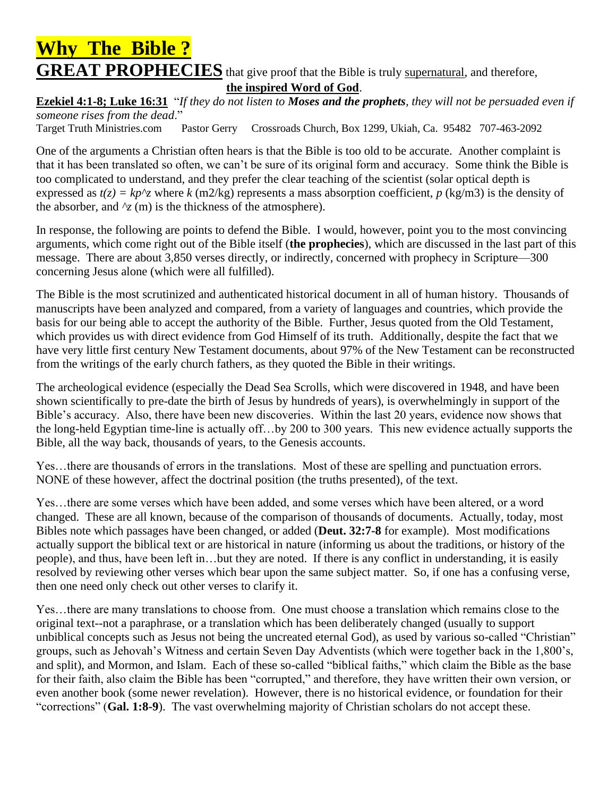## **Why The Bible ? GREAT PROPHECIES** that give proof that the Bible is truly supernatural, and therefore, **the inspired Word of God**.

**Ezekiel 4:1-8; Luke 16:31** "*If they do not listen to Moses and the prophets, they will not be persuaded even if someone rises from the dead*."

Target Truth Ministries.com Pastor Gerry Crossroads Church, Box 1299, Ukiah, Ca. 95482 707-463-2092

One of the arguments a Christian often hears is that the Bible is too old to be accurate. Another complaint is that it has been translated so often, we can't be sure of its original form and accuracy. Some think the Bible is too complicated to understand, and they prefer the clear teaching of the scientist (solar optical depth is expressed as  $t(z) = kp^2$  where  $k$  (m2/kg) represents a mass absorption coefficient,  $p$  (kg/m3) is the density of the absorber, and  $\gamma$ <sup>z</sup> (m) is the thickness of the atmosphere).

In response, the following are points to defend the Bible. I would, however, point you to the most convincing arguments, which come right out of the Bible itself (**the prophecies**), which are discussed in the last part of this message. There are about 3,850 verses directly, or indirectly, concerned with prophecy in Scripture—300 concerning Jesus alone (which were all fulfilled).

The Bible is the most scrutinized and authenticated historical document in all of human history. Thousands of manuscripts have been analyzed and compared, from a variety of languages and countries, which provide the basis for our being able to accept the authority of the Bible. Further, Jesus quoted from the Old Testament, which provides us with direct evidence from God Himself of its truth. Additionally, despite the fact that we have very little first century New Testament documents, about 97% of the New Testament can be reconstructed from the writings of the early church fathers, as they quoted the Bible in their writings.

The archeological evidence (especially the Dead Sea Scrolls, which were discovered in 1948, and have been shown scientifically to pre-date the birth of Jesus by hundreds of years), is overwhelmingly in support of the Bible's accuracy. Also, there have been new discoveries. Within the last 20 years, evidence now shows that the long-held Egyptian time-line is actually off…by 200 to 300 years. This new evidence actually supports the Bible, all the way back, thousands of years, to the Genesis accounts.

Yes…there are thousands of errors in the translations. Most of these are spelling and punctuation errors. NONE of these however, affect the doctrinal position (the truths presented), of the text.

Yes…there are some verses which have been added, and some verses which have been altered, or a word changed. These are all known, because of the comparison of thousands of documents. Actually, today, most Bibles note which passages have been changed, or added (**Deut. 32:7-8** for example). Most modifications actually support the biblical text or are historical in nature (informing us about the traditions, or history of the people), and thus, have been left in…but they are noted. If there is any conflict in understanding, it is easily resolved by reviewing other verses which bear upon the same subject matter. So, if one has a confusing verse, then one need only check out other verses to clarify it.

Yes…there are many translations to choose from. One must choose a translation which remains close to the original text--not a paraphrase, or a translation which has been deliberately changed (usually to support unbiblical concepts such as Jesus not being the uncreated eternal God), as used by various so-called "Christian" groups, such as Jehovah's Witness and certain Seven Day Adventists (which were together back in the 1,800's, and split), and Mormon, and Islam. Each of these so-called "biblical faiths," which claim the Bible as the base for their faith, also claim the Bible has been "corrupted," and therefore, they have written their own version, or even another book (some newer revelation). However, there is no historical evidence, or foundation for their "corrections" (**Gal. 1:8-9**). The vast overwhelming majority of Christian scholars do not accept these.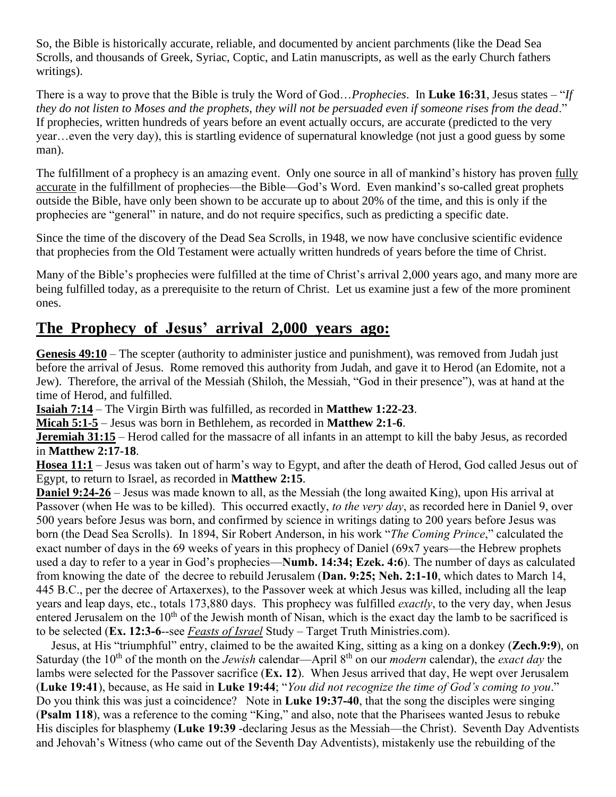So, the Bible is historically accurate, reliable, and documented by ancient parchments (like the Dead Sea Scrolls, and thousands of Greek, Syriac, Coptic, and Latin manuscripts, as well as the early Church fathers writings).

There is a way to prove that the Bible is truly the Word of God…*Prophecies*. In **Luke 16:31**, Jesus states – "*If they do not listen to Moses and the prophets, they will not be persuaded even if someone rises from the dead*." If prophecies, written hundreds of years before an event actually occurs, are accurate (predicted to the very year…even the very day), this is startling evidence of supernatural knowledge (not just a good guess by some man).

The fulfillment of a prophecy is an amazing event. Only one source in all of mankind's history has proven fully accurate in the fulfillment of prophecies—the Bible—God's Word. Even mankind's so-called great prophets outside the Bible, have only been shown to be accurate up to about 20% of the time, and this is only if the prophecies are "general" in nature, and do not require specifics, such as predicting a specific date.

Since the time of the discovery of the Dead Sea Scrolls, in 1948, we now have conclusive scientific evidence that prophecies from the Old Testament were actually written hundreds of years before the time of Christ.

Many of the Bible's prophecies were fulfilled at the time of Christ's arrival 2,000 years ago, and many more are being fulfilled today, as a prerequisite to the return of Christ. Let us examine just a few of the more prominent ones.

### **The Prophecy of Jesus' arrival 2,000 years ago:**

**Genesis 49:10** – The scepter (authority to administer justice and punishment), was removed from Judah just before the arrival of Jesus. Rome removed this authority from Judah, and gave it to Herod (an Edomite, not a Jew). Therefore, the arrival of the Messiah (Shiloh, the Messiah, "God in their presence"), was at hand at the time of Herod, and fulfilled.

**Isaiah 7:14** – The Virgin Birth was fulfilled, as recorded in **Matthew 1:22-23**.

**Micah 5:1-5** – Jesus was born in Bethlehem, as recorded in **Matthew 2:1-6**.

**Jeremiah 31:15** – Herod called for the massacre of all infants in an attempt to kill the baby Jesus, as recorded in **Matthew 2:17-18**.

**Hosea 11:1** – Jesus was taken out of harm's way to Egypt, and after the death of Herod, God called Jesus out of Egypt, to return to Israel, as recorded in **Matthew 2:15**.

**Daniel 9:24-26** – Jesus was made known to all, as the Messiah (the long awaited King), upon His arrival at Passover (when He was to be killed). This occurred exactly, *to the very day*, as recorded here in Daniel 9, over 500 years before Jesus was born, and confirmed by science in writings dating to 200 years before Jesus was born (the Dead Sea Scrolls). In 1894, Sir Robert Anderson, in his work "*The Coming Prince*," calculated the exact number of days in the 69 weeks of years in this prophecy of Daniel (69x7 years—the Hebrew prophets used a day to refer to a year in God's prophecies—**Numb. 14:34; Ezek. 4:6**). The number of days as calculated from knowing the date of the decree to rebuild Jerusalem (**Dan. 9:25; Neh. 2:1-10**, which dates to March 14, 445 B.C., per the decree of Artaxerxes), to the Passover week at which Jesus was killed, including all the leap years and leap days, etc., totals 173,880 days. This prophecy was fulfilled *exactly*, to the very day, when Jesus entered Jerusalem on the 10<sup>th</sup> of the Jewish month of Nisan, which is the exact day the lamb to be sacrificed is to be selected (**Ex. 12:3-6**--see *Feasts of Israel* Study – Target Truth Ministries.com).

 Jesus, at His "triumphful" entry, claimed to be the awaited King, sitting as a king on a donkey (**Zech.9:9**), on Saturday (the 10th of the month on the *Jewish* calendar—April 8th on our *modern* calendar), the *exact day* the lambs were selected for the Passover sacrifice (**Ex. 12**). When Jesus arrived that day, He wept over Jerusalem (**Luke 19:41**), because, as He said in **Luke 19:44**; "*You did not recognize the time of God's coming to you*." Do you think this was just a coincidence? Note in **Luke 19:37-40**, that the song the disciples were singing (**Psalm 118**), was a reference to the coming "King," and also, note that the Pharisees wanted Jesus to rebuke His disciples for blasphemy (**Luke 19:39** -declaring Jesus as the Messiah—the Christ). Seventh Day Adventists and Jehovah's Witness (who came out of the Seventh Day Adventists), mistakenly use the rebuilding of the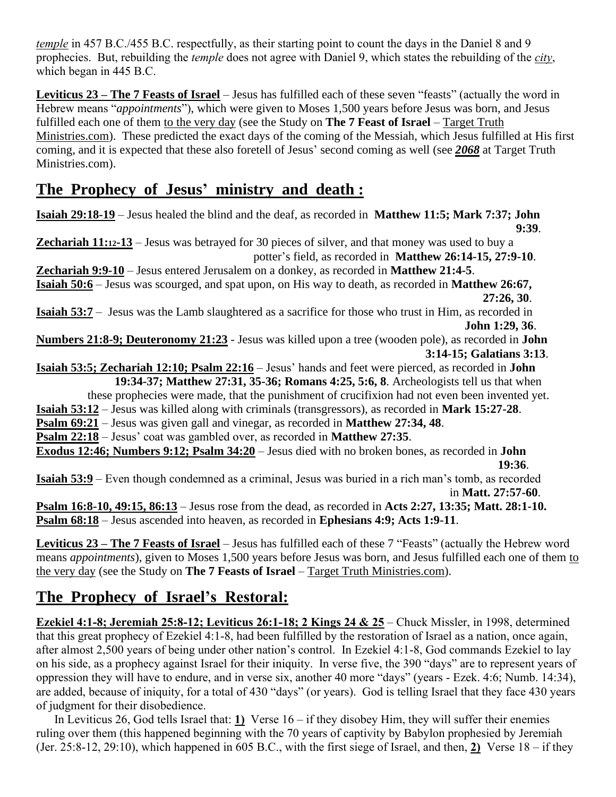*temple* in 457 B.C./455 B.C. respectfully, as their starting point to count the days in the Daniel 8 and 9 prophecies. But, rebuilding the *temple* does not agree with Daniel 9, which states the rebuilding of the *city*, which began in 445 B.C.

**Leviticus 23 – The 7 Feasts of Israel** – Jesus has fulfilled each of these seven "feasts" (actually the word in Hebrew means "*appointments*"), which were given to Moses 1,500 years before Jesus was born, and Jesus fulfilled each one of them to the very day (see the Study on **The 7 Feast of Israel** – Target Truth Ministries.com). These predicted the exact days of the coming of the Messiah, which Jesus fulfilled at His first coming, and it is expected that these also foretell of Jesus' second coming as well (see *2068* at Target Truth Ministries.com).

## **The Prophecy of Jesus' ministry and death :**

**Isaiah 29:18-19** – Jesus healed the blind and the deaf, as recorded in **Matthew 11:5; Mark 7:37; John 9:39**. **Zechariah 11:12-13** – Jesus was betrayed for 30 pieces of silver, and that money was used to buy a potter's field, as recorded in **Matthew 26:14-15, 27:9-10**. **Zechariah 9:9-10** – Jesus entered Jerusalem on a donkey, as recorded in **Matthew 21:4-5**.

**Isaiah 50:6** – Jesus was scourged, and spat upon, on His way to death, as recorded in **Matthew 26:67, 27:26, 30**.

**Isaiah 53:7** – Jesus was the Lamb slaughtered as a sacrifice for those who trust in Him, as recorded in **John 1:29, 36**.

**Numbers 21:8-9; Deuteronomy 21:23** - Jesus was killed upon a tree (wooden pole), as recorded in **John 3:14-15; Galatians 3:13**.

**Isaiah 53:5; Zechariah 12:10; Psalm 22:16** – Jesus' hands and feet were pierced, as recorded in **John 19:34-37; Matthew 27:31, 35-36; Romans 4:25, 5:6, 8**. Archeologists tell us that when

these prophecies were made, that the punishment of crucifixion had not even been invented yet.

**Isaiah 53:12** – Jesus was killed along with criminals (transgressors), as recorded in **Mark 15:27-28**.

**Psalm 69:21** – Jesus was given gall and vinegar, as recorded in **Matthew 27:34, 48**.

**Psalm 22:18** – Jesus' coat was gambled over, as recorded in **Matthew 27:35**.

**Exodus 12:46; Numbers 9:12; Psalm 34:20** – Jesus died with no broken bones, as recorded in **John** 

 **19:36**.

**Isaiah 53:9** – Even though condemned as a criminal, Jesus was buried in a rich man's tomb, as recorded in **Matt. 27:57-60**.

**Psalm 16:8-10, 49:15, 86:13** – Jesus rose from the dead, as recorded in **Acts 2:27, 13:35; Matt. 28:1-10. Psalm 68:18** – Jesus ascended into heaven, as recorded in **Ephesians 4:9; Acts 1:9-11**.

**Leviticus 23 – The 7 Feasts of Israel** – Jesus has fulfilled each of these 7 "Feasts" (actually the Hebrew word means *appointments*), given to Moses 1,500 years before Jesus was born, and Jesus fulfilled each one of them to the very day (see the Study on **The 7 Feasts of Israel** – Target Truth Ministries.com).

# **The Prophecy of Israel's Restoral:**

**Ezekiel 4:1-8; Jeremiah 25:8-12; Leviticus 26:1-18; 2 Kings 24 & 25** – Chuck Missler, in 1998, determined that this great prophecy of Ezekiel 4:1-8, had been fulfilled by the restoration of Israel as a nation, once again, after almost 2,500 years of being under other nation's control. In Ezekiel 4:1-8, God commands Ezekiel to lay on his side, as a prophecy against Israel for their iniquity. In verse five, the 390 "days" are to represent years of oppression they will have to endure, and in verse six, another 40 more "days" (years - Ezek. 4:6; Numb. 14:34), are added, because of iniquity, for a total of 430 "days" (or years). God is telling Israel that they face 430 years of judgment for their disobedience.

 In Leviticus 26, God tells Israel that: **1)** Verse 16 – if they disobey Him, they will suffer their enemies ruling over them (this happened beginning with the 70 years of captivity by Babylon prophesied by Jeremiah (Jer. 25:8-12, 29:10), which happened in 605 B.C., with the first siege of Israel, and then, **2)** Verse 18 – if they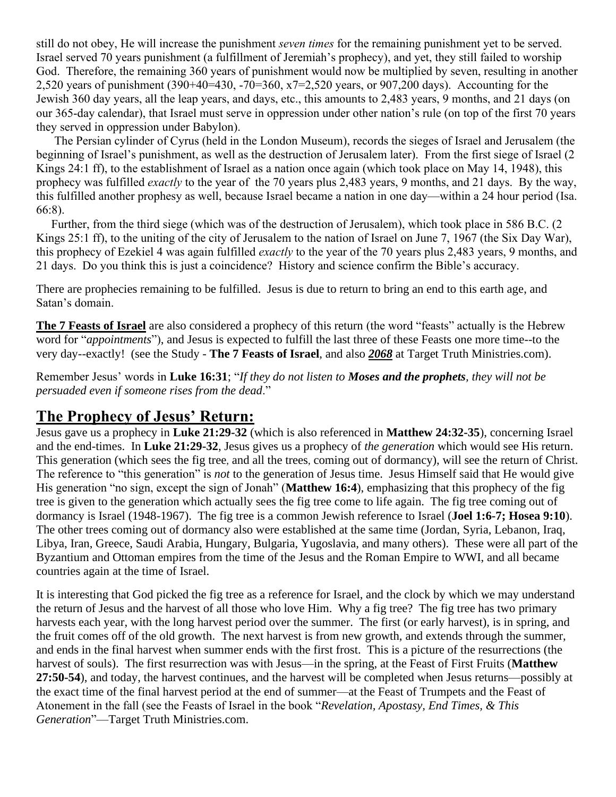still do not obey, He will increase the punishment *seven times* for the remaining punishment yet to be served. Israel served 70 years punishment (a fulfillment of Jeremiah's prophecy), and yet, they still failed to worship God. Therefore, the remaining 360 years of punishment would now be multiplied by seven, resulting in another 2,520 years of punishment (390+40=430, -70=360, x7=2,520 years, or 907,200 days). Accounting for the Jewish 360 day years, all the leap years, and days, etc., this amounts to 2,483 years, 9 months, and 21 days (on our 365-day calendar), that Israel must serve in oppression under other nation's rule (on top of the first 70 years they served in oppression under Babylon).

 The Persian cylinder of Cyrus (held in the London Museum), records the sieges of Israel and Jerusalem (the beginning of Israel's punishment, as well as the destruction of Jerusalem later). From the first siege of Israel (2 Kings 24:1 ff), to the establishment of Israel as a nation once again (which took place on May 14, 1948), this prophecy was fulfilled *exactly* to the year of the 70 years plus 2,483 years, 9 months, and 21 days. By the way, this fulfilled another prophesy as well, because Israel became a nation in one day—within a 24 hour period (Isa. 66:8).

 Further, from the third siege (which was of the destruction of Jerusalem), which took place in 586 B.C. (2 Kings 25:1 ff), to the uniting of the city of Jerusalem to the nation of Israel on June 7, 1967 (the Six Day War), this prophecy of Ezekiel 4 was again fulfilled *exactly* to the year of the 70 years plus 2,483 years, 9 months, and 21 days. Do you think this is just a coincidence? History and science confirm the Bible's accuracy.

There are prophecies remaining to be fulfilled. Jesus is due to return to bring an end to this earth age, and Satan's domain.

**The 7 Feasts of Israel** are also considered a prophecy of this return (the word "feasts" actually is the Hebrew word for "*appointments*"), and Jesus is expected to fulfill the last three of these Feasts one more time--to the very day--exactly! (see the Study - **The 7 Feasts of Israel**, and also *2068* at Target Truth Ministries.com).

Remember Jesus' words in **Luke 16:31**; "*If they do not listen to Moses and the prophets, they will not be persuaded even if someone rises from the dead*."

#### **The Prophecy of Jesus' Return:**

Jesus gave us a prophecy in **Luke 21:29-32** (which is also referenced in **Matthew 24:32-35**), concerning Israel and the end-times. In **Luke 21:29-32**, Jesus gives us a prophecy of *the generation* which would see His return. This generation (which sees the fig tree, and all the trees, coming out of dormancy), will see the return of Christ. The reference to "this generation" is *not* to the generation of Jesus time. Jesus Himself said that He would give His generation "no sign, except the sign of Jonah" (**Matthew 16:4**), emphasizing that this prophecy of the fig tree is given to the generation which actually sees the fig tree come to life again. The fig tree coming out of dormancy is Israel (1948-1967). The fig tree is a common Jewish reference to Israel (**Joel 1:6-7; Hosea 9:10**). The other trees coming out of dormancy also were established at the same time (Jordan, Syria, Lebanon, Iraq, Libya, Iran, Greece, Saudi Arabia, Hungary, Bulgaria, Yugoslavia, and many others). These were all part of the Byzantium and Ottoman empires from the time of the Jesus and the Roman Empire to WWI, and all became countries again at the time of Israel.

It is interesting that God picked the fig tree as a reference for Israel, and the clock by which we may understand the return of Jesus and the harvest of all those who love Him. Why a fig tree? The fig tree has two primary harvests each year, with the long harvest period over the summer. The first (or early harvest), is in spring, and the fruit comes off of the old growth. The next harvest is from new growth, and extends through the summer, and ends in the final harvest when summer ends with the first frost. This is a picture of the resurrections (the harvest of souls). The first resurrection was with Jesus—in the spring, at the Feast of First Fruits (**Matthew 27:50-54**), and today, the harvest continues, and the harvest will be completed when Jesus returns—possibly at the exact time of the final harvest period at the end of summer—at the Feast of Trumpets and the Feast of Atonement in the fall (see the Feasts of Israel in the book "*Revelation, Apostasy, End Times, & This Generation*"—Target Truth Ministries.com.